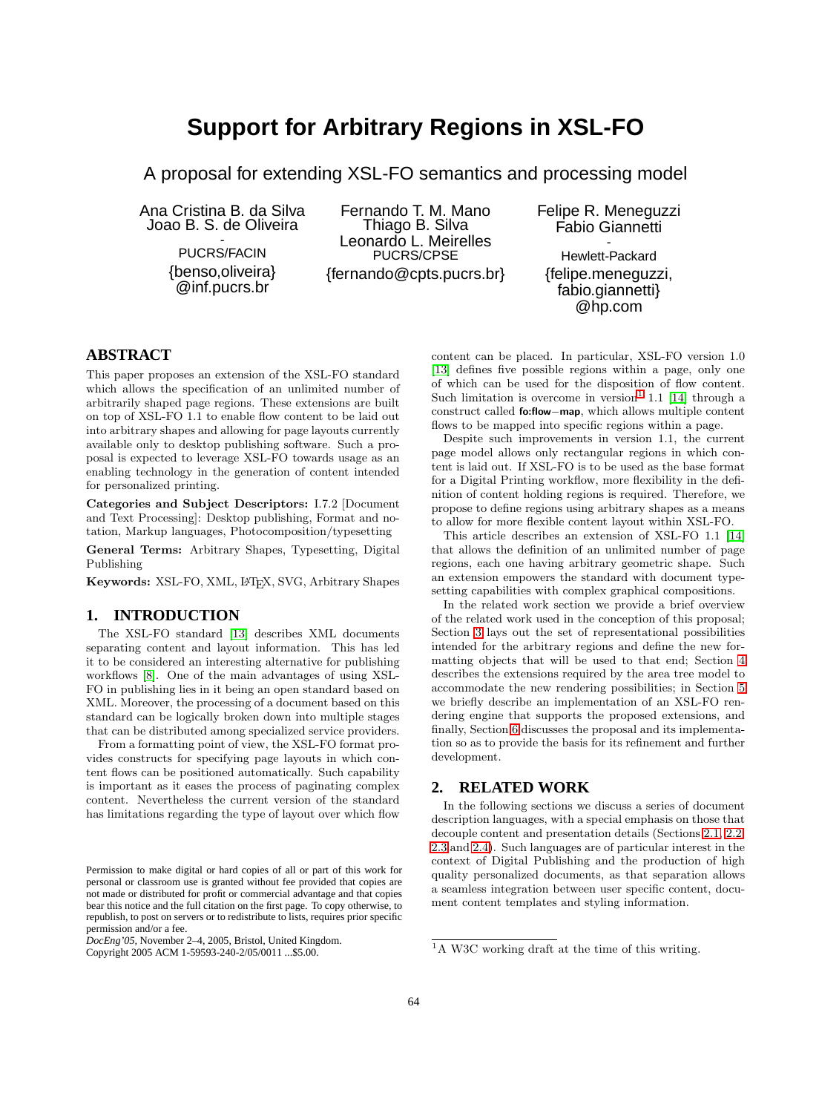# **Support for Arbitrary Regions in XSL-FO**

A proposal for extending XSL-FO semantics and processing model

Ana Cristina B. da Silva Joao B. S. de Oliveira -

> PUCRS/FACIN {benso,oliveira} @inf.pucrs.br

Fernando T. M. Mano Thiago B. Silva Leonardo L. Meirelles PUCRS/CPSE {fernando@cpts.pucrs.br} Felipe R. Meneguzzi Fabio Giannetti -

Hewlett-Packard {felipe.meneguzzi, fabio.giannetti} @hp.com

# **ABSTRACT**

This paper proposes an extension of the XSL-FO standard which allows the specification of an unlimited number of arbitrarily shaped page regions. These extensions are built on top of XSL-FO 1.1 to enable flow content to be laid out into arbitrary shapes and allowing for page layouts currently available only to desktop publishing software. Such a proposal is expected to leverage XSL-FO towards usage as an enabling technology in the generation of content intended for personalized printing.

**Categories and Subject Descriptors:** I.7.2 [Document and Text Processing]: Desktop publishing, Format and notation, Markup languages, Photocomposition/typesetting

**General Terms:** Arbitrary Shapes, Typesetting, Digital Publishing

Keywords: XSL-FO, XML, L<sup>AT</sup>EX, SVG, Arbitrary Shapes

# **1. INTRODUCTION**

The XSL-FO standard [13] describes XML documents separating content and layout information. This has led it to be considered an interesting alternative for publishing workflows [8]. One of the main advantages of using XSL-FO in publishing lies in it being an open standard based on XML. Moreover, the processing of a document based on this standard can be logically broken down into multiple stages that can be distributed among specialized service providers.

From a formatting point of view, the XSL-FO format provides constructs for specifying page layouts in which content flows can be positioned automatically. Such capability is important as it eases the process of paginating complex content. Nevertheless the current version of the standard has limitations regarding the type of layout over which flow

content can be placed. In particular, XSL-FO version 1.0 [13] defines five possible regions within a page, only one of which can be used for the disposition of flow content. Such limitation is overcome in version<sup>1</sup> 1.1 [14] through a construct called **fo:flow**−**map**, which allows multiple content flows to be mapped into specific regions within a page.

Despite such improvements in version 1.1, the current page model allows only rectangular regions in which content is laid out. If XSL-FO is to be used as the base format for a Digital Printing workflow, more flexibility in the definition of content holding regions is required. Therefore, we propose to define regions using arbitrary shapes as a means to allow for more flexible content layout within XSL-FO.

This article describes an extension of XSL-FO 1.1 [14] that allows the definition of an unlimited number of page regions, each one having arbitrary geometric shape. Such an extension empowers the standard with document typesetting capabilities with complex graphical compositions.

In the related work section we provide a brief overview of the related work used in the conception of this proposal; Section 3 lays out the set of representational possibilities intended for the arbitrary regions and define the new formatting objects that will be used to that end; Section 4 describes the extensions required by the area tree model to accommodate the new rendering possibilities; in Section 5 we briefly describe an implementation of an XSL-FO rendering engine that supports the proposed extensions, and finally, Section 6 discusses the proposal and its implementation so as to provide the basis for its refinement and further development.

# **2. RELATED WORK**

In the following sections we discuss a series of document description languages, with a special emphasis on those that decouple content and presentation details (Sections 2.1, 2.2, 2.3 and 2.4). Such languages are of particular interest in the context of Digital Publishing and the production of high quality personalized documents, as that separation allows a seamless integration between user specific content, document content templates and styling information.

Permission to make digital or hard copies of all or part of this work for personal or classroom use is granted without fee provided that copies are not made or distributed for profit or commercial advantage and that copies bear this notice and the full citation on the first page. To copy otherwise, to republish, to post on servers or to redistribute to lists, requires prior specific permission and/or a fee.

*DocEng'05,* November 2–4, 2005, Bristol, United Kingdom.

Copyright 2005 ACM 1-59593-240-2/05/0011 ...\$5.00.

<sup>&</sup>lt;sup>1</sup>A W3C working draft at the time of this writing.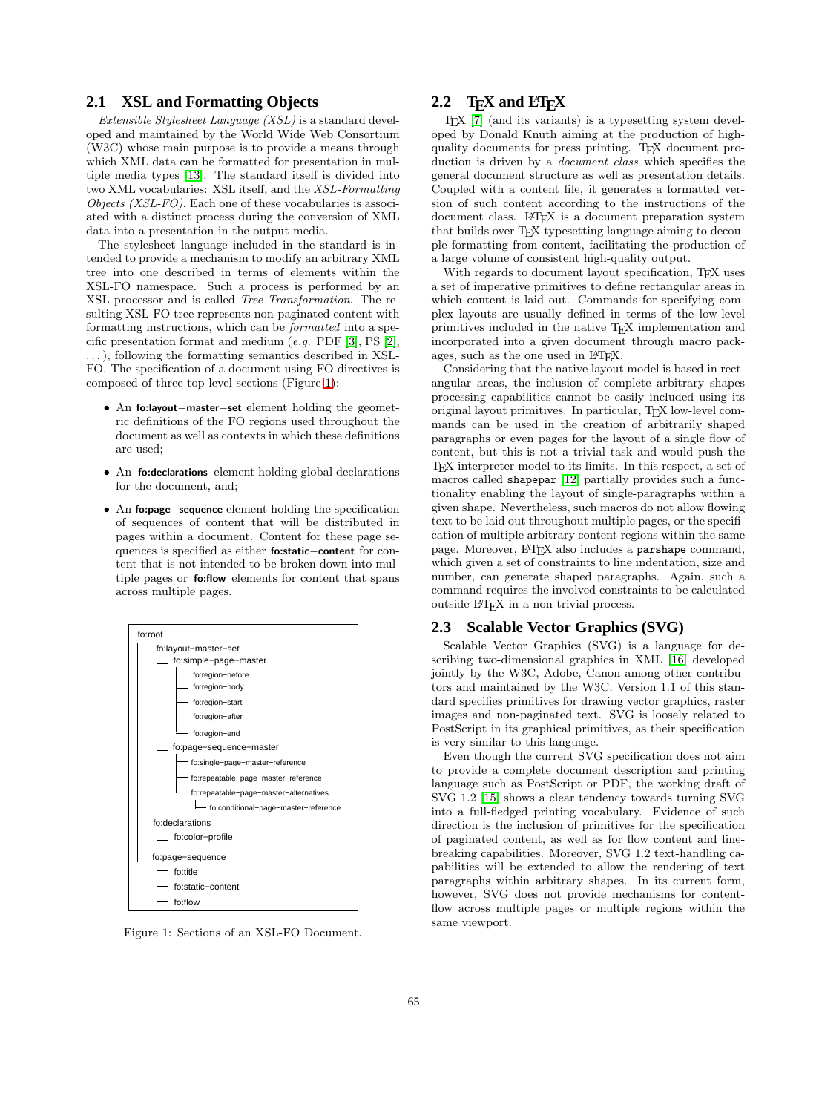# **2.1 XSL and Formatting Objects**

*Extensible Stylesheet Language (XSL)* is a standard developed and maintained by the World Wide Web Consortium (W3C) whose main purpose is to provide a means through which XML data can be formatted for presentation in multiple media types [13]. The standard itself is divided into two XML vocabularies: XSL itself, and the *XSL-Formatting Objects (XSL-FO)*. Each one of these vocabularies is associated with a distinct process during the conversion of XML data into a presentation in the output media.

The stylesheet language included in the standard is intended to provide a mechanism to modify an arbitrary XML tree into one described in terms of elements within the XSL-FO namespace. Such a process is performed by an XSL processor and is called *Tree Transformation*. The resulting XSL-FO tree represents non-paginated content with formatting instructions, which can be *formatted* into a specific presentation format and medium (*e.g.* PDF [3], PS [2], . . . ), following the formatting semantics described in XSL-FO. The specification of a document using FO directives is composed of three top-level sections (Figure 1):

- An **fo:layout**−**master**−**set** element holding the geometric definitions of the FO regions used throughout the document as well as contexts in which these definitions are used;
- An **fo:declarations** element holding global declarations for the document, and;
- An **fo:page**−**sequence** element holding the specification of sequences of content that will be distributed in pages within a document. Content for these page sequences is specified as either **fo:static**−**content** for content that is not intended to be broken down into multiple pages or **fo:flow** elements for content that spans across multiple pages.



Figure 1: Sections of an XSL-FO Document.

# 2.2 T<sub>E</sub>X and L<sup>A</sup>T<sub>E</sub>X

T<sub>E</sub>X [7] (and its variants) is a typesetting system developed by Donald Knuth aiming at the production of highquality documents for press printing. TEX document production is driven by a *document class* which specifies the general document structure as well as presentation details. Coupled with a content file, it generates a formatted version of such content according to the instructions of the document class. LATEX is a document preparation system that builds over T<sub>E</sub>X typesetting language aiming to decouple formatting from content, facilitating the production of a large volume of consistent high-quality output.

With regards to document layout specification, T<sub>EX</sub> uses a set of imperative primitives to define rectangular areas in which content is laid out. Commands for specifying complex layouts are usually defined in terms of the low-level primitives included in the native TEX implementation and incorporated into a given document through macro packages, such as the one used in IAT<sub>EX</sub>.

Considering that the native layout model is based in rectangular areas, the inclusion of complete arbitrary shapes processing capabilities cannot be easily included using its original layout primitives. In particular, TEX low-level commands can be used in the creation of arbitrarily shaped paragraphs or even pages for the layout of a single flow of content, but this is not a trivial task and would push the TEX interpreter model to its limits. In this respect, a set of macros called shapepar [12] partially provides such a functionality enabling the layout of single-paragraphs within a given shape. Nevertheless, such macros do not allow flowing text to be laid out throughout multiple pages, or the specification of multiple arbitrary content regions within the same page. Moreover, LATEX also includes a parshape command, which given a set of constraints to line indentation, size and number, can generate shaped paragraphs. Again, such a command requires the involved constraints to be calculated outside LATEX in a non-trivial process.

# **2.3 Scalable Vector Graphics (SVG)**

Scalable Vector Graphics (SVG) is a language for describing two-dimensional graphics in XML [16] developed jointly by the W3C, Adobe, Canon among other contributors and maintained by the W3C. Version 1.1 of this standard specifies primitives for drawing vector graphics, raster images and non-paginated text. SVG is loosely related to PostScript in its graphical primitives, as their specification is very similar to this language.

Even though the current SVG specification does not aim to provide a complete document description and printing language such as PostScript or PDF, the working draft of SVG 1.2 [15] shows a clear tendency towards turning SVG into a full-fledged printing vocabulary. Evidence of such direction is the inclusion of primitives for the specification of paginated content, as well as for flow content and linebreaking capabilities. Moreover, SVG 1.2 text-handling capabilities will be extended to allow the rendering of text paragraphs within arbitrary shapes. In its current form, however, SVG does not provide mechanisms for contentflow across multiple pages or multiple regions within the same viewport.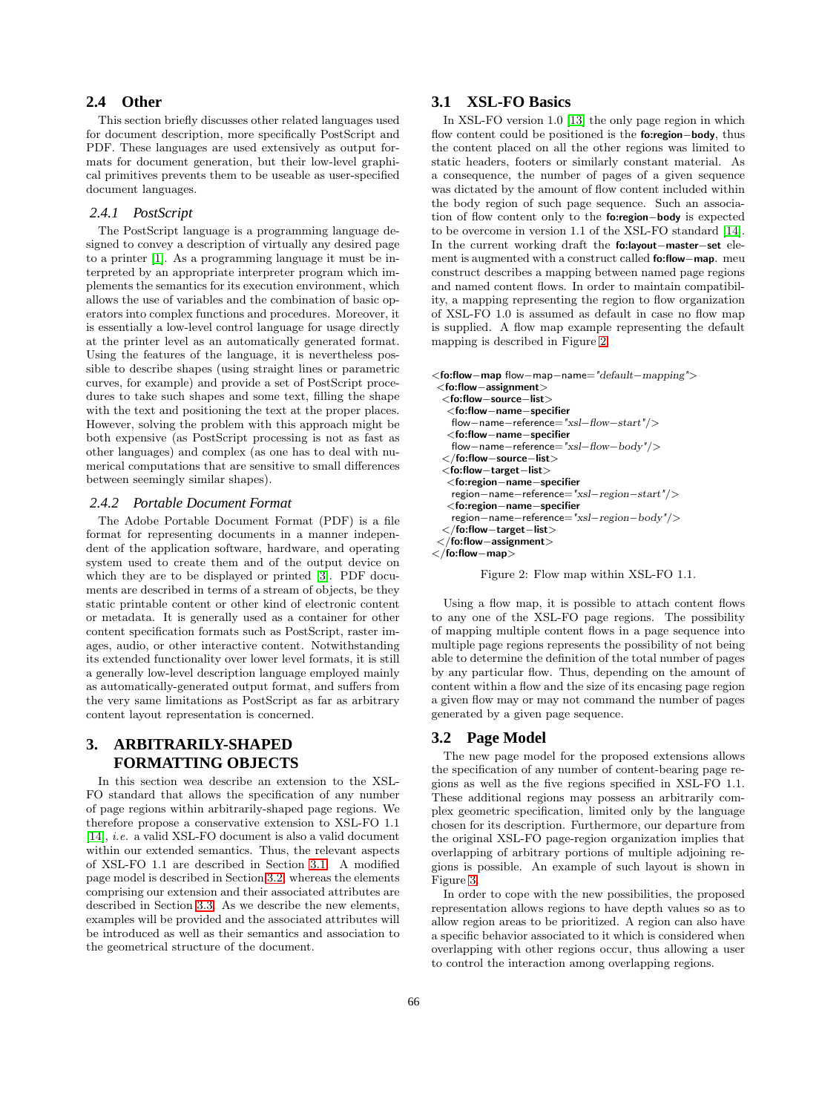# **2.4 Other**

This section briefly discusses other related languages used for document description, more specifically PostScript and PDF. These languages are used extensively as output formats for document generation, but their low-level graphical primitives prevents them to be useable as user-specified document languages.

### *2.4.1 PostScript*

The PostScript language is a programming language designed to convey a description of virtually any desired page to a printer [1]. As a programming language it must be interpreted by an appropriate interpreter program which implements the semantics for its execution environment, which allows the use of variables and the combination of basic operators into complex functions and procedures. Moreover, it is essentially a low-level control language for usage directly at the printer level as an automatically generated format. Using the features of the language, it is nevertheless possible to describe shapes (using straight lines or parametric curves, for example) and provide a set of PostScript procedures to take such shapes and some text, filling the shape with the text and positioning the text at the proper places. However, solving the problem with this approach might be both expensive (as PostScript processing is not as fast as other languages) and complex (as one has to deal with numerical computations that are sensitive to small differences between seemingly similar shapes).

#### *2.4.2 Portable Document Format*

The Adobe Portable Document Format (PDF) is a file format for representing documents in a manner independent of the application software, hardware, and operating system used to create them and of the output device on which they are to be displayed or printed [3]. PDF documents are described in terms of a stream of objects, be they static printable content or other kind of electronic content or metadata. It is generally used as a container for other content specification formats such as PostScript, raster images, audio, or other interactive content. Notwithstanding its extended functionality over lower level formats, it is still a generally low-level description language employed mainly as automatically-generated output format, and suffers from the very same limitations as PostScript as far as arbitrary content layout representation is concerned.

# **3. ARBITRARILY-SHAPED FORMATTING OBJECTS**

In this section wea describe an extension to the XSL-FO standard that allows the specification of any number of page regions within arbitrarily-shaped page regions. We therefore propose a conservative extension to XSL-FO 1.1 [14], *i.e.* a valid XSL-FO document is also a valid document within our extended semantics. Thus, the relevant aspects of XSL-FO 1.1 are described in Section 3.1. A modified page model is described in Section 3.2, whereas the elements comprising our extension and their associated attributes are described in Section 3.3. As we describe the new elements, examples will be provided and the associated attributes will be introduced as well as their semantics and association to the geometrical structure of the document.

# **3.1 XSL-FO Basics**

In XSL-FO version 1.0 [13] the only page region in which flow content could be positioned is the **fo:region**−**body**, thus the content placed on all the other regions was limited to static headers, footers or similarly constant material. As a consequence, the number of pages of a given sequence was dictated by the amount of flow content included within the body region of such page sequence. Such an association of flow content only to the **fo:region**−**body** is expected to be overcome in version 1.1 of the XSL-FO standard [14]. In the current working draft the **fo:layout**−**master**−**set** element is augmented with a construct called **fo:flow**−**map**. meu construct describes a mapping between named page regions and named content flows. In order to maintain compatibility, a mapping representing the region to flow organization of XSL-FO 1.0 is assumed as default in case no flow map is supplied. A flow map example representing the default mapping is described in Figure 2.

```
<fo:flow−map flow−map−name="default−mapping">
<fo:flow−assignment>
 <fo:flow−source−list>
  <fo:flow−name−specifier
   flow−name−reference="xsl−flow−start"/>
  <fo:flow−name−specifier
   flow−name−reference="xsl−flow−body"/>
 </fo:flow−source−list>
 <fo:flow−target−list>
  <fo:region−name−specifier
   region−name−reference="xsl−region−start"/>
  <fo:region−name−specifier
   region−name−reference="xsl−region−body"/>
 </fo:flow−target−list>
</fo:flow−assignment>
</fo:flow−map>
```
Figure 2: Flow map within XSL-FO 1.1.

Using a flow map, it is possible to attach content flows to any one of the XSL-FO page regions. The possibility of mapping multiple content flows in a page sequence into multiple page regions represents the possibility of not being able to determine the definition of the total number of pages by any particular flow. Thus, depending on the amount of content within a flow and the size of its encasing page region a given flow may or may not command the number of pages generated by a given page sequence.

#### **3.2 Page Model**

The new page model for the proposed extensions allows the specification of any number of content-bearing page regions as well as the five regions specified in XSL-FO 1.1. These additional regions may possess an arbitrarily complex geometric specification, limited only by the language chosen for its description. Furthermore, our departure from the original XSL-FO page-region organization implies that overlapping of arbitrary portions of multiple adjoining regions is possible. An example of such layout is shown in Figure 3.

In order to cope with the new possibilities, the proposed representation allows regions to have depth values so as to allow region areas to be prioritized. A region can also have a specific behavior associated to it which is considered when overlapping with other regions occur, thus allowing a user to control the interaction among overlapping regions.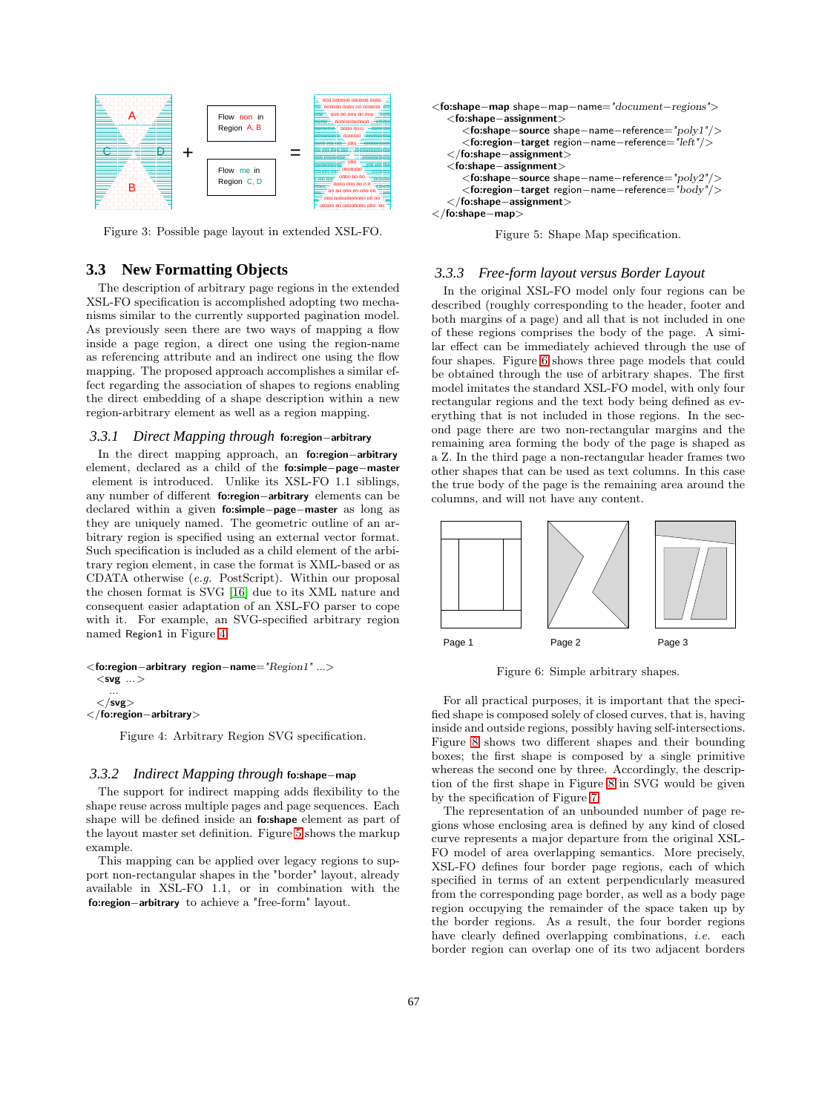

Figure 3: Possible page layout in extended XSL-FO.

# **3.3 New Formatting Objects**

The description of arbitrary page regions in the extended XSL-FO specification is accomplished adopting two mechanisms similar to the currently supported pagination model. As previously seen there are two ways of mapping a flow inside a page region, a direct one using the region-name as referencing attribute and an indirect one using the flow mapping. The proposed approach accomplishes a similar effect regarding the association of shapes to regions enabling the direct embedding of a shape description within a new region-arbitrary element as well as a region mapping.

#### *3.3.1 Direct Mapping through* **fo:region**−**arbitrary**

In the direct mapping approach, an **fo:region**−**arbitrary** element, declared as a child of the **fo:simple**−**page**−**master** element is introduced. Unlike its XSL-FO 1.1 siblings, any number of different **fo:region**−**arbitrary** elements can be declared within a given **fo:simple**−**page**−**master** as long as they are uniquely named. The geometric outline of an arbitrary region is specified using an external vector format. Such specification is included as a child element of the arbitrary region element, in case the format is XML-based or as CDATA otherwise (*e.g.* PostScript). Within our proposal the chosen format is SVG [16] due to its XML nature and consequent easier adaptation of an XSL-FO parser to cope with it. For example, an SVG-specified arbitrary region named Region1 in Figure 4.

```
<fo:region−arbitrary region−name="Region1" ...>
  <svg ... >
    ...
  </svg>
</fo:region−arbitrary>
```
Figure 4: Arbitrary Region SVG specification.

#### *3.3.2 Indirect Mapping through* **fo:shape**−**map**

The support for indirect mapping adds flexibility to the shape reuse across multiple pages and page sequences. Each shape will be defined inside an **fo:shape** element as part of the layout master set definition. Figure 5 shows the markup example.

This mapping can be applied over legacy regions to support non-rectangular shapes in the "border" layout, already available in XSL-FO 1.1, or in combination with the **fo:region**−**arbitrary** to achieve a "free-form" layout.



Figure 5: Shape Map specification.

#### *3.3.3 Free-form layout versus Border Layout*

In the original XSL-FO model only four regions can be described (roughly corresponding to the header, footer and both margins of a page) and all that is not included in one of these regions comprises the body of the page. A similar effect can be immediately achieved through the use of four shapes. Figure 6 shows three page models that could be obtained through the use of arbitrary shapes. The first model imitates the standard XSL-FO model, with only four rectangular regions and the text body being defined as everything that is not included in those regions. In the second page there are two non-rectangular margins and the remaining area forming the body of the page is shaped as a Z. In the third page a non-rectangular header frames two other shapes that can be used as text columns. In this case the true body of the page is the remaining area around the columns, and will not have any content.



Figure 6: Simple arbitrary shapes.

For all practical purposes, it is important that the specified shape is composed solely of closed curves, that is, having inside and outside regions, possibly having self-intersections. Figure 8 shows two different shapes and their bounding boxes; the first shape is composed by a single primitive whereas the second one by three. Accordingly, the description of the first shape in Figure 8 in SVG would be given by the specification of Figure 7.

The representation of an unbounded number of page regions whose enclosing area is defined by any kind of closed curve represents a major departure from the original XSL-FO model of area overlapping semantics. More precisely, XSL-FO defines four border page regions, each of which specified in terms of an extent perpendicularly measured from the corresponding page border, as well as a body page region occupying the remainder of the space taken up by the border regions. As a result, the four border regions have clearly defined overlapping combinations, *i.e.* each border region can overlap one of its two adjacent borders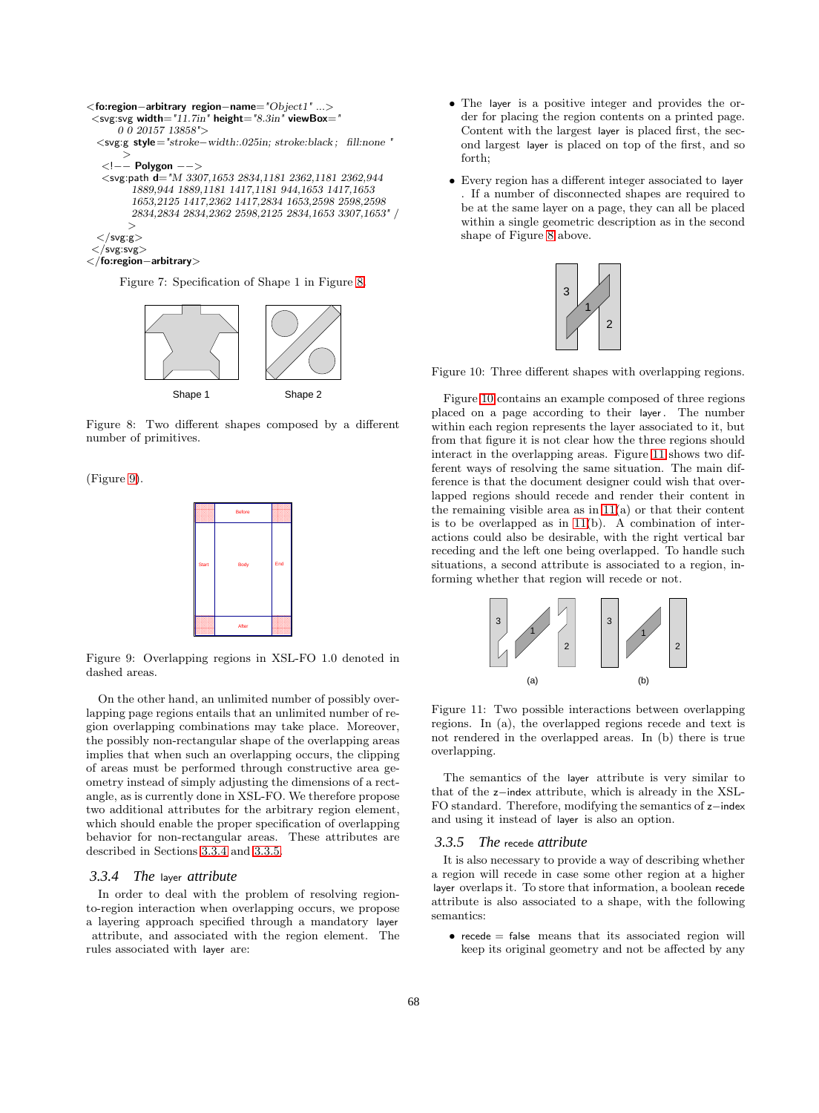```
<fo:region−arbitrary region−name="Object1" ...>
<svg:svg width="11.7in" height="8.3in" viewBox="
     0 0 20157 13858">
 <svg:g style="stroke−width:.025in; stroke:black ; fill:none "
      >
  <!−− Polygon −−>
  <svg:path d="M 3307,1653 2834,1181 2362,1181 2362,944
        1889,944 1889,1181 1417,1181 944,1653 1417,1653
        1653,2125 1417,2362 1417,2834 1653,2598 2598,2598
        2834,2834 2834,2362 2598,2125 2834,1653 3307,1653" /
        >
 \langle/svg:g>\langle/svg:svg>
```

```
</fo:region−arbitrary>
```
Figure 7: Specification of Shape 1 in Figure 8.



Figure 8: Two different shapes composed by a different number of primitives.

(Figure 9).



Figure 9: Overlapping regions in XSL-FO 1.0 denoted in dashed areas.

On the other hand, an unlimited number of possibly overlapping page regions entails that an unlimited number of region overlapping combinations may take place. Moreover, the possibly non-rectangular shape of the overlapping areas implies that when such an overlapping occurs, the clipping of areas must be performed through constructive area geometry instead of simply adjusting the dimensions of a rectangle, as is currently done in XSL-FO. We therefore propose two additional attributes for the arbitrary region element, which should enable the proper specification of overlapping behavior for non-rectangular areas. These attributes are described in Sections 3.3.4 and 3.3.5.

#### *3.3.4 The* layer *attribute*

In order to deal with the problem of resolving regionto-region interaction when overlapping occurs, we propose a layering approach specified through a mandatory layer attribute, and associated with the region element. The rules associated with layer are:

- The layer is a positive integer and provides the order for placing the region contents on a printed page. Content with the largest layer is placed first, the second largest layer is placed on top of the first, and so forth;
- Every region has a different integer associated to layer . If a number of disconnected shapes are required to be at the same layer on a page, they can all be placed within a single geometric description as in the second shape of Figure 8 above.



Figure 10: Three different shapes with overlapping regions.

Figure 10 contains an example composed of three regions placed on a page according to their layer. The number within each region represents the layer associated to it, but from that figure it is not clear how the three regions should interact in the overlapping areas. Figure 11 shows two different ways of resolving the same situation. The main difference is that the document designer could wish that overlapped regions should recede and render their content in the remaining visible area as in  $11(a)$  or that their content is to be overlapped as in  $11(b)$ . A combination of interactions could also be desirable, with the right vertical bar receding and the left one being overlapped. To handle such situations, a second attribute is associated to a region, informing whether that region will recede or not.



Figure 11: Two possible interactions between overlapping regions. In (a), the overlapped regions recede and text is not rendered in the overlapped areas. In (b) there is true overlapping.

The semantics of the layer attribute is very similar to that of the z−index attribute, which is already in the XSL-FO standard. Therefore, modifying the semantics of z−index and using it instead of layer is also an option.

#### *3.3.5 The* recede *attribute*

It is also necessary to provide a way of describing whether a region will recede in case some other region at a higher layer overlaps it. To store that information, a boolean recede attribute is also associated to a shape, with the following semantics:

 $\bullet$  recede = false means that its associated region will keep its original geometry and not be affected by any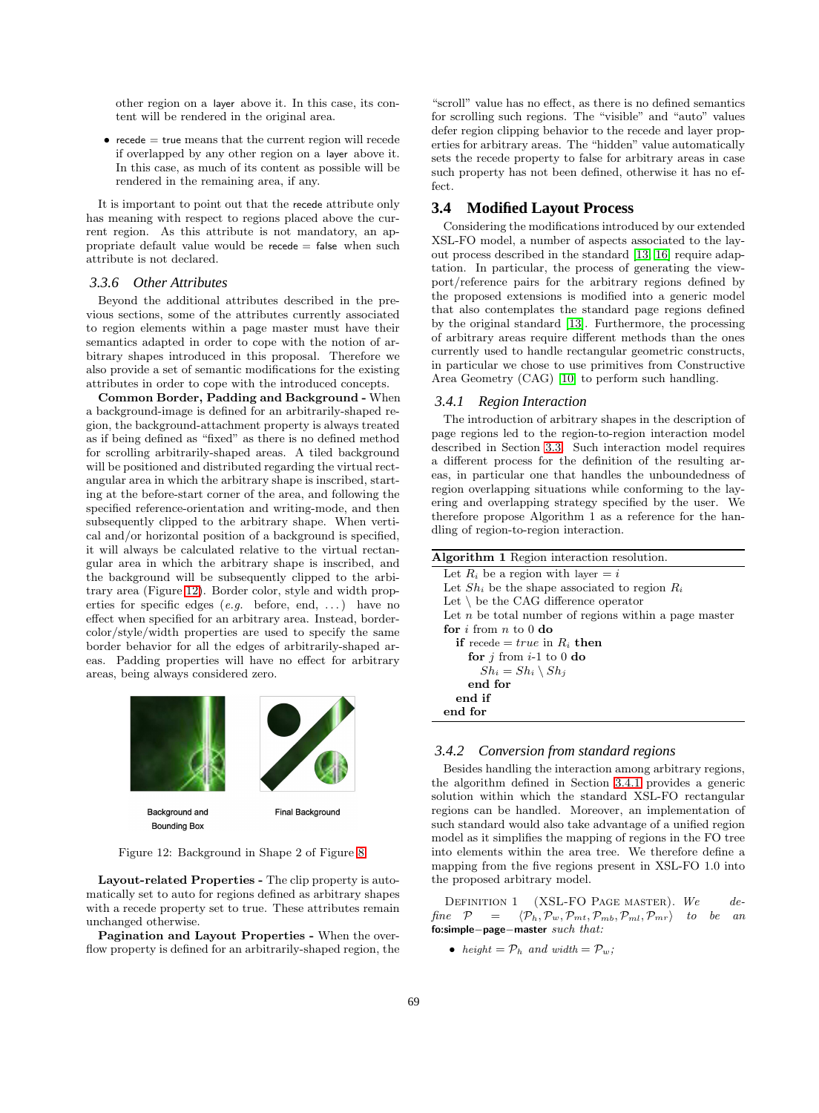other region on a layer above it. In this case, its content will be rendered in the original area.

 $\bullet$  recede = true means that the current region will recede if overlapped by any other region on a layer above it. In this case, as much of its content as possible will be rendered in the remaining area, if any.

It is important to point out that the recede attribute only has meaning with respect to regions placed above the current region. As this attribute is not mandatory, an appropriate default value would be  $recede = false$  when such attribute is not declared.

#### *3.3.6 Other Attributes*

Beyond the additional attributes described in the previous sections, some of the attributes currently associated to region elements within a page master must have their semantics adapted in order to cope with the notion of arbitrary shapes introduced in this proposal. Therefore we also provide a set of semantic modifications for the existing attributes in order to cope with the introduced concepts.

**Common Border, Padding and Background -** When a background-image is defined for an arbitrarily-shaped region, the background-attachment property is always treated as if being defined as "fixed" as there is no defined method for scrolling arbitrarily-shaped areas. A tiled background will be positioned and distributed regarding the virtual rectangular area in which the arbitrary shape is inscribed, starting at the before-start corner of the area, and following the specified reference-orientation and writing-mode, and then subsequently clipped to the arbitrary shape. When vertical and/or horizontal position of a background is specified, it will always be calculated relative to the virtual rectangular area in which the arbitrary shape is inscribed, and the background will be subsequently clipped to the arbitrary area (Figure 12). Border color, style and width properties for specific edges (*e.g.* before, end, . . . ) have no effect when specified for an arbitrary area. Instead, bordercolor/style/width properties are used to specify the same border behavior for all the edges of arbitrarily-shaped areas. Padding properties will have no effect for arbitrary areas, being always considered zero.



Figure 12: Background in Shape 2 of Figure 8.

**Layout-related Properties -** The clip property is automatically set to auto for regions defined as arbitrary shapes with a recede property set to true. These attributes remain unchanged otherwise.

**Pagination and Layout Properties -** When the overflow property is defined for an arbitrarily-shaped region, the

"scroll" value has no effect, as there is no defined semantics for scrolling such regions. The "visible" and "auto" values defer region clipping behavior to the recede and layer properties for arbitrary areas. The "hidden" value automatically sets the recede property to false for arbitrary areas in case such property has not been defined, otherwise it has no effect.

# **3.4 Modified Layout Process**

Considering the modifications introduced by our extended XSL-FO model, a number of aspects associated to the layout process described in the standard [13, 16] require adaptation. In particular, the process of generating the viewport/reference pairs for the arbitrary regions defined by the proposed extensions is modified into a generic model that also contemplates the standard page regions defined by the original standard [13]. Furthermore, the processing of arbitrary areas require different methods than the ones currently used to handle rectangular geometric constructs, in particular we chose to use primitives from Constructive Area Geometry (CAG) [10] to perform such handling.

#### *3.4.1 Region Interaction*

The introduction of arbitrary shapes in the description of page regions led to the region-to-region interaction model described in Section 3.3. Such interaction model requires a different process for the definition of the resulting areas, in particular one that handles the unboundedness of region overlapping situations while conforming to the layering and overlapping strategy specified by the user. We therefore propose Algorithm 1 as a reference for the handling of region-to-region interaction.

| <b>Algorithm 1</b> Region interaction resolution.       |
|---------------------------------------------------------|
| Let $R_i$ be a region with layer $=i$                   |
| Let $Sh_i$ be the shape associated to region $R_i$      |
| Let $\backslash$ be the CAG difference operator         |
| Let $n$ be total number of regions within a page master |
| for i from n to $0$ do                                  |
| <b>if</b> recede = <i>true</i> in $R_i$ <b>then</b>     |
| for i from $i-1$ to $0$ do                              |
| $Sh_i = Sh_i \setminus Sh_i$                            |
| end for                                                 |
| end if                                                  |
| end for                                                 |

# *3.4.2 Conversion from standard regions*

Besides handling the interaction among arbitrary regions, the algorithm defined in Section 3.4.1 provides a generic solution within which the standard XSL-FO rectangular regions can be handled. Moreover, an implementation of such standard would also take advantage of a unified region model as it simplifies the mapping of regions in the FO tree into elements within the area tree. We therefore define a mapping from the five regions present in XSL-FO 1.0 into the proposed arbitrary model.

Definition 1 (XSL-FO Page master). *We define*  $P = \langle \mathcal{P}_h, \mathcal{P}_w, \mathcal{P}_{mt}, \mathcal{P}_{mb}, \mathcal{P}_{ml}, \mathcal{P}_{mr} \rangle$  *to be an* **fo:simple**−**page**−**master** *such that:*

• *height* =  $P_h$  *and width* =  $P_w$ ;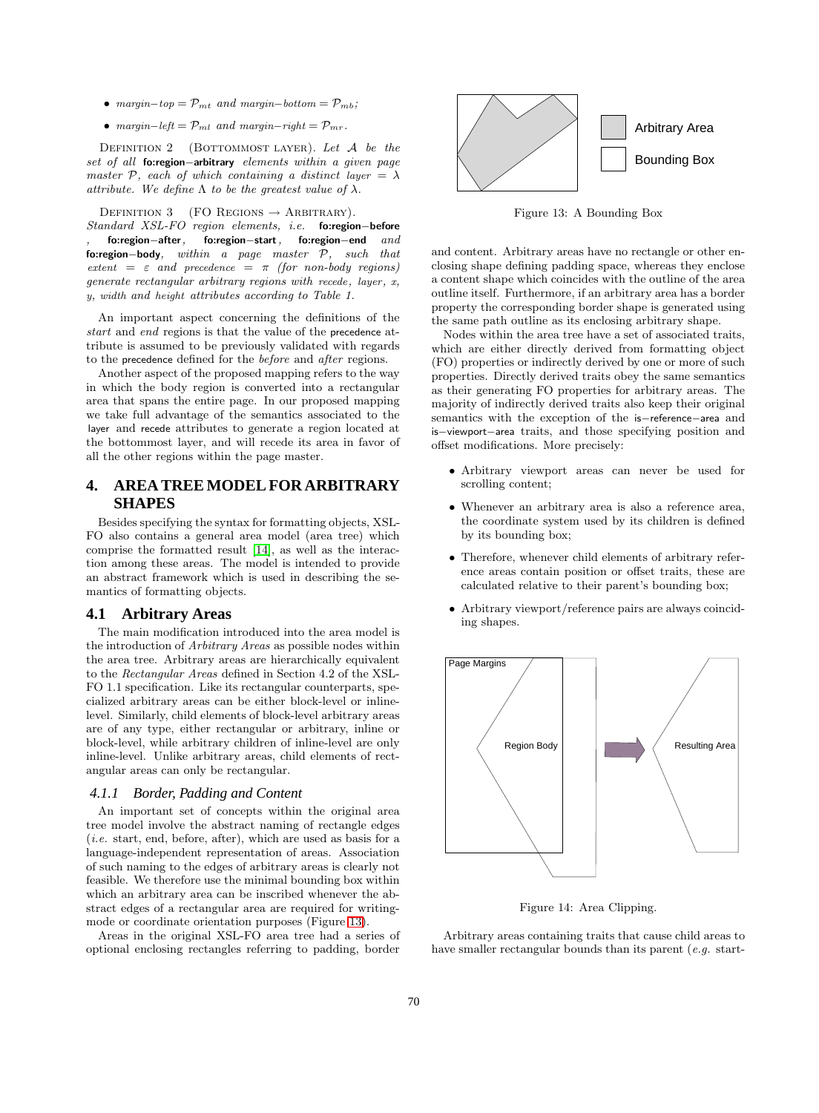- $margin-top = P_{mt}$  *and*  $margin-bottom = P_{mb}$ ;
- *margin*−*left* =  $\mathcal{P}_{ml}$  *and*  $margin-right = \mathcal{P}_{mr}$ .

Definition 2 (Bottommost layer). *Let* A *be the set of all* **fo:region**−**arbitrary** *elements within a given page master* P, each of which containing a distinct layer =  $\lambda$ *attribute. We define*  $\Lambda$  *to be the greatest value of*  $\lambda$ *.* 

DEFINITION 3 (FO REGIONS  $\rightarrow$  ARBITRARY). *Standard XSL-FO region elements, i.e.* **fo:region**−**before** *,* **fo:region**−**after***,* **fo:region**−**start** *,* **fo:region**−**end** *and* **fo:region**−**body***, within a page master* P*, such that*  $extent = \varepsilon$  *and*  $precedence = \pi$  *(for non-body regions) generate rectangular arbitrary regions with recede, layer, x, y, width and height attributes according to Table 1.*

An important aspect concerning the definitions of the *start* and *end* regions is that the value of the precedence attribute is assumed to be previously validated with regards to the precedence defined for the *before* and *after* regions.

Another aspect of the proposed mapping refers to the way in which the body region is converted into a rectangular area that spans the entire page. In our proposed mapping we take full advantage of the semantics associated to the layer and recede attributes to generate a region located at the bottommost layer, and will recede its area in favor of all the other regions within the page master.

# **4. AREA TREE MODEL FOR ARBITRARY SHAPES**

Besides specifying the syntax for formatting objects, XSL-FO also contains a general area model (area tree) which comprise the formatted result [14], as well as the interaction among these areas. The model is intended to provide an abstract framework which is used in describing the semantics of formatting objects.

# **4.1 Arbitrary Areas**

The main modification introduced into the area model is the introduction of *Arbitrary Areas* as possible nodes within the area tree. Arbitrary areas are hierarchically equivalent to the *Rectangular Areas* defined in Section 4.2 of the XSL-FO 1.1 specification. Like its rectangular counterparts, specialized arbitrary areas can be either block-level or inlinelevel. Similarly, child elements of block-level arbitrary areas are of any type, either rectangular or arbitrary, inline or block-level, while arbitrary children of inline-level are only inline-level. Unlike arbitrary areas, child elements of rectangular areas can only be rectangular.

#### *4.1.1 Border, Padding and Content*

An important set of concepts within the original area tree model involve the abstract naming of rectangle edges (*i.e.* start, end, before, after), which are used as basis for a language-independent representation of areas. Association of such naming to the edges of arbitrary areas is clearly not feasible. We therefore use the minimal bounding box within which an arbitrary area can be inscribed whenever the abstract edges of a rectangular area are required for writingmode or coordinate orientation purposes (Figure 13).

Areas in the original XSL-FO area tree had a series of optional enclosing rectangles referring to padding, border



Figure 13: A Bounding Box

and content. Arbitrary areas have no rectangle or other enclosing shape defining padding space, whereas they enclose a content shape which coincides with the outline of the area outline itself. Furthermore, if an arbitrary area has a border property the corresponding border shape is generated using the same path outline as its enclosing arbitrary shape.

Nodes within the area tree have a set of associated traits, which are either directly derived from formatting object (FO) properties or indirectly derived by one or more of such properties. Directly derived traits obey the same semantics as their generating FO properties for arbitrary areas. The majority of indirectly derived traits also keep their original semantics with the exception of the is−reference−area and is−viewport−area traits, and those specifying position and offset modifications. More precisely:

- Arbitrary viewport areas can never be used for scrolling content;
- Whenever an arbitrary area is also a reference area, the coordinate system used by its children is defined by its bounding box;
- Therefore, whenever child elements of arbitrary reference areas contain position or offset traits, these are calculated relative to their parent's bounding box;
- Arbitrary viewport/reference pairs are always coinciding shapes.



Figure 14: Area Clipping.

Arbitrary areas containing traits that cause child areas to have smaller rectangular bounds than its parent (*e.g.* start-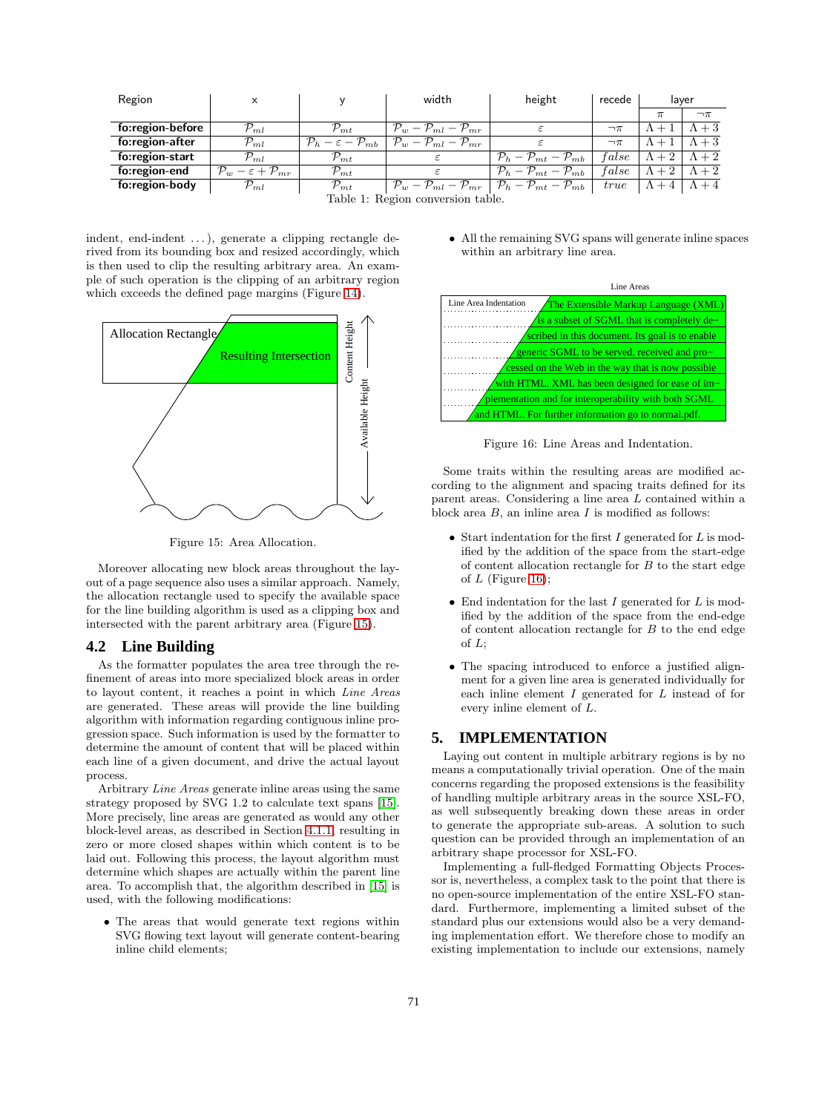| Region           | X                                                  |                                              | width                                                                                                     | height                                                | recede     | laver         |               |  |
|------------------|----------------------------------------------------|----------------------------------------------|-----------------------------------------------------------------------------------------------------------|-------------------------------------------------------|------------|---------------|---------------|--|
|                  |                                                    |                                              |                                                                                                           |                                                       |            |               | $\neg \pi$    |  |
| fo:region-before | $\mathcal{D}_{ml}$                                 | $\mathcal{P}_{mt}$                           | $\mathcal{P}_{w}-\mathcal{P}_{ml}-\mathcal{P}_{mr}$                                                       | ε                                                     | $\neg \pi$ |               | $\Lambda + 3$ |  |
| fo:region-after  | $\mathcal{D}_{ml}$                                 | $\mathcal{P}_h-\varepsilon-\mathcal{P}_{mb}$ | $\mathcal{P}_{w}-\mathcal{P}_{ml}-\mathcal{P}_{mr}$                                                       | ε                                                     | $\neg \pi$ |               | $\Lambda + 3$ |  |
| fo:region-start  | $\mathcal{D}_{ml}$                                 | $\mathcal{P}_{mt}$                           |                                                                                                           | $\mathcal{P}_h-\mathcal{P}_{mt}-\mathcal{P}_{mb}$     | false      | $\Lambda + 2$ | $\Lambda + 2$ |  |
| fo:region-end    | $\mathcal{P}_{w} - \varepsilon + \mathcal{P}_{mr}$ | $\mathcal{P}_{mt}$                           |                                                                                                           | $\mathcal{P}_h - \mathcal{P}_{mt} - \mathcal{P}_{mb}$ | false      | $\Lambda + 2$ | $\Lambda + 2$ |  |
| fo:region-body   | $\mathcal{P}_{ml}$                                 | $\mathcal{P}_{mt}$                           | $\mathcal{P}_{w}-\mathcal{P}_{ml}-\mathcal{P}_{mr}$   $\mathcal{P}_{h}-\mathcal{P}_{mt}-\mathcal{P}_{mb}$ |                                                       | true       | $\Lambda + 4$ |               |  |
| $m + 1 + n$      |                                                    |                                              |                                                                                                           |                                                       |            |               |               |  |



indent, end-indent ...), generate a clipping rectangle derived from its bounding box and resized accordingly, which is then used to clip the resulting arbitrary area. An example of such operation is the clipping of an arbitrary region which exceeds the defined page margins (Figure 14).



Figure 15: Area Allocation.

Moreover allocating new block areas throughout the layout of a page sequence also uses a similar approach. Namely, the allocation rectangle used to specify the available space for the line building algorithm is used as a clipping box and intersected with the parent arbitrary area (Figure 15).

## **4.2 Line Building**

As the formatter populates the area tree through the refinement of areas into more specialized block areas in order to layout content, it reaches a point in which *Line Areas* are generated. These areas will provide the line building algorithm with information regarding contiguous inline progression space. Such information is used by the formatter to determine the amount of content that will be placed within each line of a given document, and drive the actual layout process.

Arbitrary *Line Areas* generate inline areas using the same strategy proposed by SVG 1.2 to calculate text spans [15]. More precisely, line areas are generated as would any other block-level areas, as described in Section 4.1.1, resulting in zero or more closed shapes within which content is to be laid out. Following this process, the layout algorithm must determine which shapes are actually within the parent line area. To accomplish that, the algorithm described in [15] is used, with the following modifications:

• The areas that would generate text regions within SVG flowing text layout will generate content-bearing inline child elements;

• All the remaining SVG spans will generate inline spaces within an arbitrary line area.



Figure 16: Line Areas and Indentation.

Some traits within the resulting areas are modified according to the alignment and spacing traits defined for its parent areas. Considering a line area L contained within a block area  $B$ , an inline area  $I$  is modified as follows:

- Start indentation for the first I generated for  $L$  is modified by the addition of the space from the start-edge of content allocation rectangle for  $B$  to the start edge of  $L$  (Figure 16);
- End indentation for the last  $I$  generated for  $L$  is modified by the addition of the space from the end-edge of content allocation rectangle for  $B$  to the end edge of  $L$ ;
- The spacing introduced to enforce a justified alignment for a given line area is generated individually for each inline element I generated for L instead of for every inline element of L.

# **5. IMPLEMENTATION**

Laying out content in multiple arbitrary regions is by no means a computationally trivial operation. One of the main concerns regarding the proposed extensions is the feasibility of handling multiple arbitrary areas in the source XSL-FO, as well subsequently breaking down these areas in order to generate the appropriate sub-areas. A solution to such question can be provided through an implementation of an arbitrary shape processor for XSL-FO.

Implementing a full-fledged Formatting Objects Processor is, nevertheless, a complex task to the point that there is no open-source implementation of the entire XSL-FO standard. Furthermore, implementing a limited subset of the standard plus our extensions would also be a very demanding implementation effort. We therefore chose to modify an existing implementation to include our extensions, namely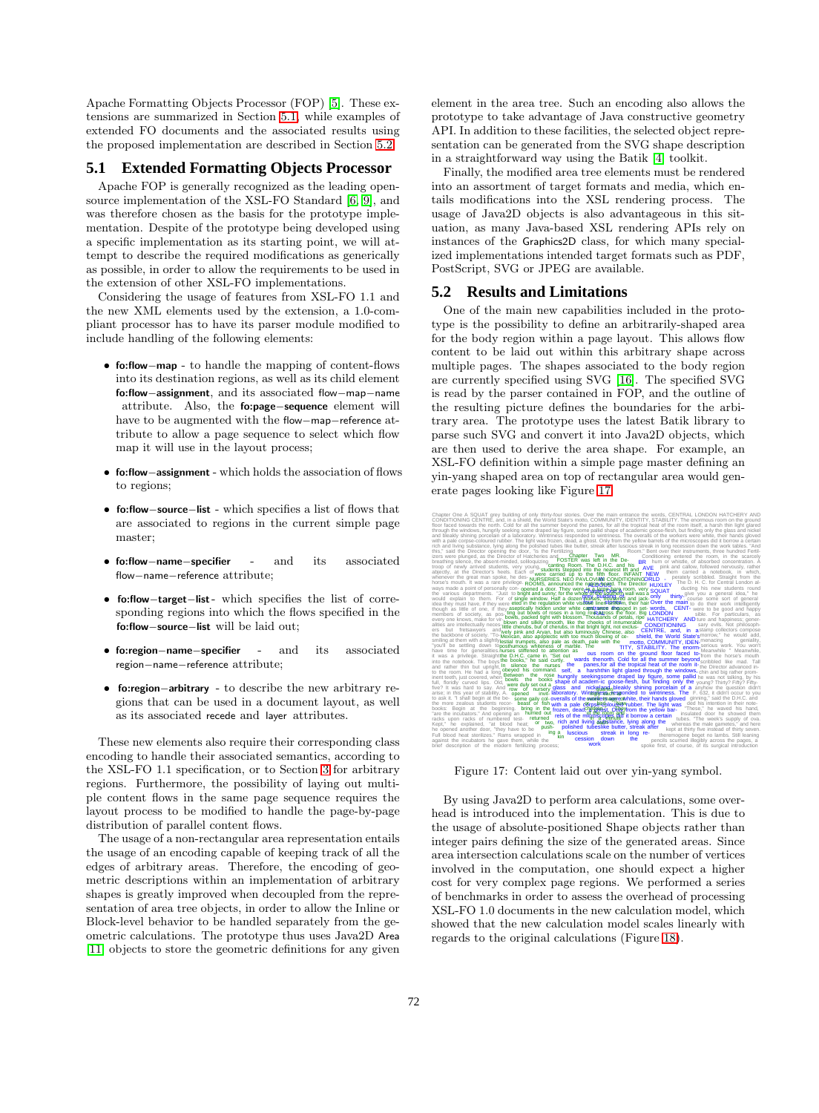Apache Formatting Objects Processor (FOP) [5]. These extensions are summarized in Section 5.1, while examples of extended FO documents and the associated results using the proposed implementation are described in Section 5.2.

## **5.1 Extended Formatting Objects Processor**

Apache FOP is generally recognized as the leading opensource implementation of the XSL-FO Standard [6, 9], and was therefore chosen as the basis for the prototype implementation. Despite of the prototype being developed using a specific implementation as its starting point, we will attempt to describe the required modifications as generically as possible, in order to allow the requirements to be used in the extension of other XSL-FO implementations.

Considering the usage of features from XSL-FO 1.1 and the new XML elements used by the extension, a 1.0-compliant processor has to have its parser module modified to include handling of the following elements:

- **fo:flow**−**map** to handle the mapping of content-flows into its destination regions, as well as its child element **fo:flow**−**assignment**, and its associated flow−map−name attribute. Also, the **fo:page**−**sequence** element will have to be augmented with the flow−map−reference attribute to allow a page sequence to select which flow map it will use in the layout process;
- **fo:flow**−**assignment** which holds the association of flows to regions;
- **fo:flow**−**source**−**list** which specifies a list of flows that are associated to regions in the current simple page master;
- **fo:flow**−**name**−**specifier** and its associated flow−name−reference attribute;
- **fo:flow**−**target**−**list** which specifies the list of corresponding regions into which the flows specified in the **fo:flow**−**source**−**list** will be laid out;
- **fo:region**−**name**−**specifier** and its associated region−name−reference attribute;
- **fo:region**−**arbitrary** to describe the new arbitrary regions that can be used in a document layout, as well as its associated recede and layer attributes.

These new elements also require their corresponding class encoding to handle their associated semantics, according to the XSL-FO 1.1 specification, or to Section 3 for arbitrary regions. Furthermore, the possibility of laying out multiple content flows in the same page sequence requires the layout process to be modified to handle the page-by-page distribution of parallel content flows.

The usage of a non-rectangular area representation entails the usage of an encoding capable of keeping track of all the edges of arbitrary areas. Therefore, the encoding of geometric descriptions within an implementation of arbitrary shapes is greatly improved when decoupled from the representation of area tree objects, in order to allow the Inline or Block-level behavior to be handled separately from the geometric calculations. The prototype thus uses Java2D Area [11] objects to store the geometric definitions for any given

element in the area tree. Such an encoding also allows the prototype to take advantage of Java constructive geometry API. In addition to these facilities, the selected object representation can be generated from the SVG shape description in a straightforward way using the Batik [4] toolkit.

Finally, the modified area tree elements must be rendered into an assortment of target formats and media, which entails modifications into the XSL rendering process. The usage of Java2D objects is also advantageous in this situation, as many Java-based XSL rendering APIs rely on instances of the Graphics2D class, for which many specialized implementations intended target formats such as PDF, PostScript, SVG or JPEG are available.

#### **5.2 Results and Limitations**

One of the main new capabilities included in the prototype is the possibility to define an arbitrarily-shaped area for the body region within a page layout. This allows flow content to be laid out within this arbitrary shape across multiple pages. The shapes associated to the body region are currently specified using SVG [16]. The specified SVG is read by the parser contained in FOP, and the outline of the resulting picture defines the boundaries for the arbitrary area. The prototype uses the latest Batik library to parse such SVG and convert it into Java2D objects, which are then used to derive the area shape. For example, an XSL-FO definition within a simple page master defining an yin-yang shaped area on top of rectangular area would generate pages looking like Figure 17.



Figure 17: Content laid out over yin-yang symbol.

By using Java2D to perform area calculations, some overhead is introduced into the implementation. This is due to the usage of absolute-positioned Shape objects rather than integer pairs defining the size of the generated areas. Since area intersection calculations scale on the number of vertices involved in the computation, one should expect a higher cost for very complex page regions. We performed a series of benchmarks in order to assess the overhead of processing XSL-FO 1.0 documents in the new calculation model, which showed that the new calculation model scales linearly with regards to the original calculations (Figure 18).